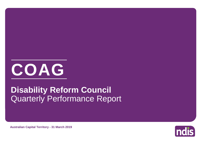

# Quarterly Performance Report **Disability Reform Council**

**Australian Capital Territory - 31 March 2019**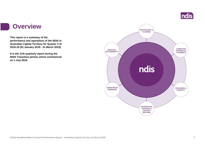

#### **Overview**

**This report is a summary of the performance and operations of the NDIA in Australian Capital Territory for Quarter 3 of 2018-19 (01 January 2019 - 31 March 2019).**

**It is the 11th quarterly report during the NDIS Transition period, which commenced on 1 July 2016.** 

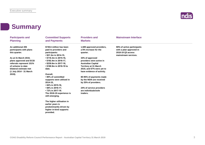

#### **Summary**

| <b>Participants and</b><br><b>Planning</b> | <b>Committed Supports</b><br>and Payments          | <b>Providers and</b><br><b>Markets</b> | <b>Mainstream Interface</b>                  |  |
|--------------------------------------------|----------------------------------------------------|----------------------------------------|----------------------------------------------|--|
| An additional 205                          | \$749.6 million has been                           | 1,589 approved providers,              | 90% of active participants                   |  |
| participants with plans                    | paid to providers and                              | a 6% increase for the                  | with a plan approved in<br>2018-19 Q3 access |  |
| this quarter.                              | participants:<br>• \$21.3m in 2014-15,             | quarter.                               | mainstream services.                         |  |
| As at 31 March 2019,                       | • \$116.3m in 2015-16,                             | 33% of approved                        |                                              |  |
| plans approved and ECEI                    | • \$192.4m in 2016-17,                             | providers were active in               |                                              |  |
| referrals represent 151%                   | $\cdot$ \$230.6m in 2017-18,                       | <b>Australian Capital</b>              |                                              |  |
| of scheme to date                          | • \$188.9m in 2018-19 to                           | <b>Territory at 31 March</b>           |                                              |  |
| bilateral estimate met                     | date.                                              | 2019, and 67% were yet to              |                                              |  |
| (1 July 2014 - 31 March                    |                                                    | have evidence of activity.             |                                              |  |
| 2019).                                     | Overall,                                           |                                        |                                              |  |
|                                            | • 80% of committed                                 | 80-95% of payments made                |                                              |  |
|                                            | supports were utilised in                          | by the NDIA are received               |                                              |  |
|                                            | 2014-15,                                           | by 25% of providers.                   |                                              |  |
|                                            | • 84% in 2015-16,                                  |                                        |                                              |  |
|                                            | • 68% in 2016-17,                                  | 24% of service providers               |                                              |  |
|                                            | • 72% in 2017-18.                                  | are individuals/sole                   |                                              |  |
|                                            | The 2018-19 experience is                          | traders.                               |                                              |  |
|                                            | still emerging.                                    |                                        |                                              |  |
|                                            | The higher utilisation in<br>earlier years is      |                                        |                                              |  |
|                                            | predominantly driven by<br>higher in-kind supports |                                        |                                              |  |
|                                            | provided.                                          |                                        |                                              |  |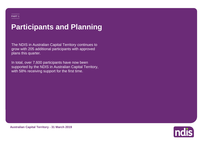## **Participants and Planning**

The NDIS in Australian Capital Territory continues to grow with 205 additional participants with approved plans this quarter.

In total, over 7,600 participants have now been supported by the NDIS in Australian Capital Territory, with 58% receiving support for the first time.



**Australian Capital Territory - 31 March 2019**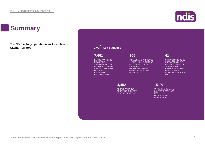### **Summary**

**The NDIS is fully operational in Australian Capital Territory.**



#### **Key Statistics**

#### PARTICIPANTS ARE **7,661 7,661 7,661**

DANTO ADE PARTICIPANTS ARE<br>NOW BEING NOW BEING<br>SUPPORTED BY THE OON FORTED BY THE SOLD ON A NUUTING CHILDREN<br>TEDDITODV CAPITAL TERRITORY,<br>INGLUANO NOW BEING NOW BEING INCLUDING INCLUDING CHILDREN IN THE CHILDREN IN THE ECEI PROGRAM ECEI PROGRAM

**205 205**

INITIAL PLANS APPROVED IN 2018-19 Q3, EXCLUDING SUPP CHILDREN IN THE ECEI **EXECUTE CHILDREN** PROGRAM (REPRESENTING ) (REPRESENTING 3% GROWTH SINCE LAST QUARTER)

**205**

#### INITIAL PLANS APPROVED IN **41 41**

CHILDREN ARE BEING CHILDREN ARE BEING SUPPORTED IN THE SUPPORTED IN THE ECEI PROGRAM, WITH ECEI PROGRAM, WITH 38 ADDITIONAL 38 ADDITIONAL REFERRALS TO THE REFERRALS TO THE ECEI GATEWAY ECEI GATEWAY CONFIRMED IN 2018-19 CONFIRMED IN 2018-19 Q3 Q3

CHILDREN ARE BEING **4,452 151%**

SUPPORTED IN THE ECOPLE ARE NOW **PROGRAM, BILATERAL BILATERAL BILATERAL ANGLES**  $\overline{A}$  and  $\overline{B}$  and  $\overline{B}$  for the first time  $\overline{B}$ OF TRANSITION TO

BILATERAL ESTIMATE MET OF SCHEME TO DATE OF SCHEME TO DATE (1 JULY 2014 - 31 MARCH 2019) BILATERAL ESTIMATE BILATERAL ESTIMATE (1 JULY 2014 - 31 (1 JULY 2014 - 31 MET MARCH 2019)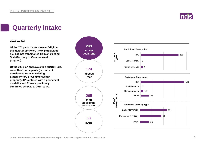

### **Quarterly Intake**

#### **2018-19 Q3**

**Of the 174 participants deemed 'eligible' this quarter 95% were 'New' participants (i.e. had not transitioned from an existing State/Territory or Commonwealth program).**

**Of the 205 plan approvals this quarter, 93% were 'New' participants (i.e. had not transitioned from an existing State/Territory or Commonwealth program), 44% entered with a permanent disability and 32 were previously confirmed as ECEI at 2018-19 Q2.**

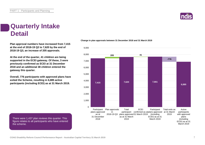### **Quarterly Intake Detail**

**Plan approval numbers have increased from 7,415 at the end of 2018-19 Q2 to 7,620 by the end of 2018-19 Q3, an increase of 205 approvals.**

**At the end of the quarter, 41 children are being supported in the ECEI gateway. Of these, 3 were previously confirmed as ECEI at 31 December 2018 and an additional 38 children entered the gateway this quarter.**

**Overall, 776 participants with approved plans have exited the Scheme, resulting in 6,885 active participants (including ECEI) as at 31 March 2019.**

There were 1,437 plan reviews this quarter. This figure relates to all participants who have entered

the scheme.

**Change in plan approvals between 31 December 2018 and 31 March 2019**



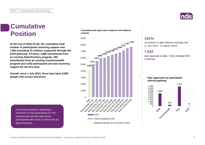

#### **Cumulative Position**

**At the end of 2018-19 Q3, the cumulative total number of participants receiving support was 7,661 (including 41 children supported through the ECEI gateway). Of these, 2,885 transitioned from an existing State/Territory program, 283 transitioned from an existing Commonwealth program and 4,452 participants are now receiving support for the first time.**

**Overall, since 1 July 2013, there have been 9,556 people with access decisions.**

> Cumulative position reporting is inclusive of trial participants for the reported period and represents participants who have or have had an approved plan.

**Cumulative plan approvals compared with bilateral estimate**



#### **151%**

of scheme to date bilateral estimate met (1 July 2014 - 31 March 2019)

#### **7,620**

plan approvals to date; 7,661 including ECEI confirmed

#### **Plan approvals by participant referral pathway**

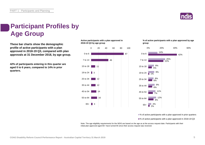

### **Participant Profiles by Age Group**

**These bar charts show the demographic profile of active participants with a plan approved in 2018-19 Q3, compared with plan approvals at 31 December 2018, by age group.**

**42% of participants entering in this quarter are aged 0 to 6 years, compared to 14% in prior quarters.**

**Active participants with a plan approved in 2018-19 Q3 by age group**



**% of active participants with a plan approved by age group**



■% of active participants with a plan approved in prior quarters

■% of active participants with a plan approved in 2018-19 Q3

Note: The age eligibility requirements for the NDIS are based on the age as at the access request date. Participants with their initial plan approved aged 65+ have turned 65 since their access request was received.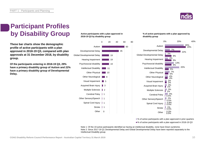

### **Participant Profiles by Disability Group**

**These bar charts show the demographic profile of active participants with a plan approved in 2018-19 Q3, compared with plan approvals at 31 December 2018, by disability group.**

**Of the participants entering in 2018-19 Q3, 29% have a primary disability group of Autism and 22% have a primary disability group of Developmental Delay.**

#### **Active participants with a plan approved in 2018-19 Q3 by disability group**



#### **% of active participants with a plan approved by disability group**



■% of active participants with a plan approved in prior quarters

■% of active participants with a plan approved in 2018-19 Q3

Note 1: Of the 19 active participants identified as having an intellectual disability, none have Down syndrome. Note 2: Since 2017-18 Q1 Developmental Delay and Global Developmental Delay have been reported separately to the Intellectual Disability group.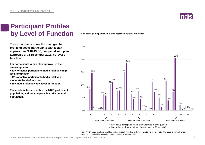

#### **Participant Profiles by Level of Function**

**These bar charts show the demographic profile of active participants with a plan approved in 2018-19 Q3, compared with plan approvals at 31 December 2018, by level of function.**

**For participants with a plan approval in the current quarter:** 

**• 40% of active participants had a relatively high level of function**

**• 35% of active participants had a relatively moderate level of function** 

**• 26% had a relatively low level of function**

**These relativities are within the NDIS participant population, and not comparable to the general population.**

**% of active participants with a plan approved by level of function**



Note: An ICT issue has been identified and as a result, reporting by level of function is not accurate. This issue is currently under investigation and will be reconciled for reporting as at 30 June 2019.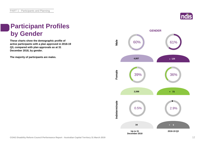

### **Participant Profiles by Gender**

**These charts show the demographic profile of active participants with a plan approved in 2018-19 Q3, compared with plan approvals as at 31 December 2018, by gender.**

**The majority of participants are males.**

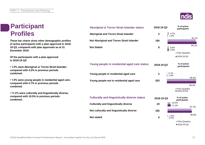#### **Participant Profiles**

**These bar charts show other demographic profiles of active participants with a plan approved in 2018- 19 Q3, compared with plan approvals as at 31 December 2018.**

**Of the participants with a plan approved in 2018-19 Q3:**

**• 1.0% were Aboriginal or Torres Strait Islander, compared with 4.2% in previous periods combined.**

**• 1.0% were young people in residential aged care, compared with 0.7% in previous periods combined.**

**• 11.2% were culturally and linguistically diverse, compared with 10.5% in previous periods combined.**



| <b>Aboriginal &amp; Torres Strait Islander status</b> | 2018-19 Q3     | % of active<br>participants          |
|-------------------------------------------------------|----------------|--------------------------------------|
| <b>Aboriginal and Torres Strait Islander</b>          | $\overline{2}$ | 4.2%<br>1.0%<br>92.1%                |
| <b>Not Aboriginal and Torres Strait Islander</b>      | 195            |                                      |
| <b>Not Stated</b>                                     | 8              | 95.1%<br>3.6%<br>3.9%                |
|                                                       |                | <b>Prior Quarters</b>                |
|                                                       |                | ■2018-19 Q3                          |
| Young people in residential aged care status          | 2018-19 Q3     | % of active<br>participants          |
| Young people in residential aged care                 | $\overline{2}$ | 0.7%<br>1.0%                         |
| Young people not in residential aged care             | 203            | 99.3%                                |
|                                                       |                | 99.0%                                |
|                                                       |                | <b>Prior Quarters</b><br>■2018-19 Q3 |
| <b>Culturally and linguistically diverse status</b>   | 2018-19 Q3     | % of active<br>participants          |
| <b>Culturally and linguistically diverse</b>          | 23             | 10.5%<br>11.00/                      |

**Not culturally and linguistically diverse**

**Not stated**

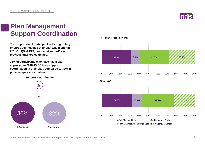

### **Plan Management Support Coordination**

**The proportion of participants electing to fully or partly self-manage their plan was higher in 2018-19 Q3 at 43%, compared with 41% in previous quarters combined.**

**36% of participants who have had a plan approved in 2018-19 Q3 have support coordination in their plan, compared to 32% in previous quarters combined.**

**Support Coordination**



**Prior quarter (transition only)**

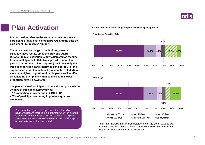

#### **Plan Activation Duration to Plan activation for participants with initial plan approval**

**Plan activation refers to the amount of time between a participant's initial plan being approved, and the date the participant first receives support.**

**There has been a change in methodology used to calculate these results since the previous quarter. Duration to plan activation is now calculated as the time from a participant's initial plan approval to when the participant first uses plan supports (previously only the initial plan for each participant was considered). In-kind supports are now also included (previously excluded). As a result, a higher proportion of participants are identified as activating their plans within 90 days, and a lower proportion have no payments.**

**The percentage of participants who activated plans within 90 days of initial plan approval was:** 

- **79% of participants entering in 2018-19 Q1**
- **78% of participants entering in previous quarters combined**

Plan activation figures are approximations based on payment data. As there is a lag between when the support is provided to a participant, and the payment being made, these statistics are a conservative estimate; it is likely plan activation is faster than presented.



Note: Participants with initial plans approved after the end of 2018-19 Q1 have been excluded from the charts. They are relatively new and it is too early to examine their durations to activation.

**Prior Quarter (Transition Only)**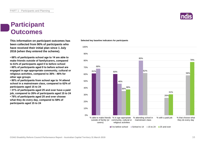#### **Participant Outcomes**

**This information on participant outcomes has been collected from 90% of participants who have received their initial plan since 1 July 2016 (when they entered the scheme).**

**• 68% of participants school age to 14 are able to make friends outside of family/carers, compared to 61% of participants aged 0 to before school**

**• 60% of participants aged 0 to before school are engaged in age appropriate community, cultural or religious activities, compared to 36% - 46% for other age groups**

**• 80% of participants from school age to 14 attend school in a mainstream class, compared to 62% of participants aged 15 to 24**

**• 31% of participants aged 25 and over have a paid job, compared to 26% of participants aged 15 to 24 • 78% of participants aged 25 and over choose what they do every day, compared to 58% of participants aged 15 to 24**

#### **Selected key baseline indicators for participants**



 $\Box$  0 to before school  $\Box$  School to 14  $\Box$  15 to 24  $\Box$  25 and over

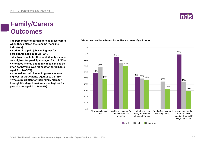### **Family/Carers Outcomes**

**The percentage of participants' families/carers when they entered the Scheme (baseline indicators):**

**• working in a paid job was highest for participants aged 15 to 24 (69%)**

**• able to advocate for their child/family member was highest for participants aged 0 to 14 (85%) • who have friends and family they can see as** 

**often as they like was highest for participants aged 0 to 14 (52%)**

**• who feel in control selecting services was highest for participants aged 15 to 24 (45%)**

**• who support/plan for their family member through life stage transitions was highest for participants aged 0 to 14 (89%)**

#### **Selected key baseline indicators for families and carers of participants**



 $\blacksquare$ 0 to 14  $\blacksquare$  15 to 24  $\blacksquare$  25 and over

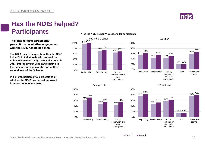

#### **Has the NDIS helped? Participants**

**This data reflects participants' perceptions on whether engagement with the NDIS has helped them.**

**The NDIA asked the question 'Has the NDIS helped?' to individuals who entered the Scheme between 1 July 2016 and 31 March 2017, after their first year participating in the Scheme and again at the end of their second year of the Scheme.**

**In general, participants' perceptions of whether the NDIS has helped improved from year one to year two.**

#### 96% 100% 71% 75% 65%<sup>69%</sup> 20% 40% 60% 80% 100% 0 to before school 100%

**"Has the NDIS helped?" questions for participants**







#### 15 to 24





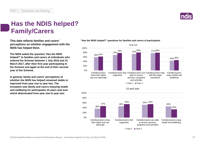

#### **Has the NDIS helped? Family/Carers**

**This data reflects families and carers' perceptions on whether engagement with the NDIS has helped them.**

**The NDIA asked the question 'Has the NDIS helped?' to families and carers of individuals who entered the Scheme between 1 July 2016 and 31 March 2017, after their first year participating in the Scheme and again at the end of their second year of the Scheme.**

**In general, family and carers' perceptions of whether the NDIS has helped remained stable or improved from year one to year two. The exception was family and carers enjoying health and wellbeing for participants 15 years and over which deteriorated from year one to year two.**



#### **"Has the NDIS helped?" questions for families and carers of participants**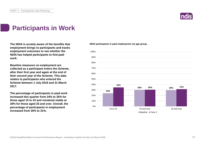

### **Participants in Work**

**The NDIA is acutely aware of the benefits that employment brings to participants and tracks employment outcomes to see whether the NDIS has helped participants to find paid work.**

**Baseline measures on employment are collected as a participant enters the Scheme, after their first year and again at the end of their second year of the Scheme. This data relates to participants who entered the Scheme between 1 July 2016 and 31 March 2017.**

**The percentage of participants in paid work increased this quarter from 24% to 35% for those aged 15 to 24 and remained stable at 30% for those aged 25 and over. Overall, the percentage of participants in employment increased from 30% to 31%.**

**NDIS participants in paid employment, by age group.**

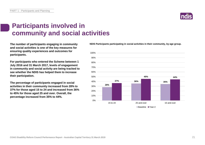

### **Participants involved in community and social activities**

**The number of participants engaging in community and social activities is one of the key measures for ensuring quality experiences and outcomes for participants.**

**For participants who entered the Scheme between 1 July 2016 and 31 March 2017, levels of engagement in community and social activity are being tracked to see whether the NDIS has helped them to increase their participation.**

**The percentage of participants engaged in social activities in their community increased from 28% to 37% for those aged 15 to 24 and increased from 36% to 45% for those aged 25 and over. Overall, the percentage increased from 35% to 44%.**

**NDIS Participants participating in social activities in their community, by age group.**

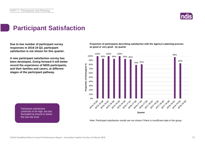

### **Participant Satisfaction**

**Due to low number of participant survey responses in 2018-19 Q3, participant satisfaction is not shown for this quarter.**

**A new participant satisfaction survey has been developed. Going forward it will better record the experience of NDIS participants, and their families and carers, at different stages of the participant pathway.**

**Proportion of participants describing satisfaction with the Agency's planning process as good or very good - by quarter**



Participant satisfaction continues to be high, but has fluctuated at around or below the trial site level.

Note: Participant satisfaction results are not shown if there is insufficient data in the group.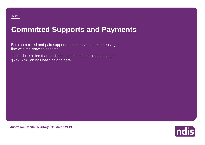### **Committed Supports and Payments**

Both committed and paid supports to participants are increasing in line with the growing scheme.

Of the \$1.0 billion that has been committed in participant plans, \$749.6 million has been paid to date.



**Australian Capital Territory - 31 March 2019**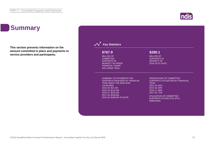### **Summary**

**This section presents information on the amount committed in plans and payments to service providers and participants.**



**Indis**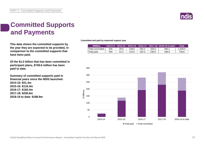

#### **Committed Supports and Payments**

**This data shows the committed supports by the year they are expected to be provided, in comparison to the committed supports that have been paid.**

**Of the \$1.0 billion that has been committed in participant plans, \$749.6 million has been paid to date.**

**Summary of committed supports paid in financial years since the NDIS launched: 2014-15: \$21.3m 2015-16: \$116.3m 2016-17: \$192.4m 2017-18: \$230.6m 2018-19 to date: \$188.9m**

**Committed and paid by expected support year**

| <b><i>SMillion</i></b> |     |      |       |       |       |       | Total   |
|------------------------|-----|------|-------|-------|-------|-------|---------|
| Total committed        | N/A | 26.6 | 138.6 | 282.2 | 320.5 | 280.1 | 1.048.0 |
| Total paid             | N/A | 21.3 | 116.3 | 192.4 | 230.6 | 188.9 | 749.6   |

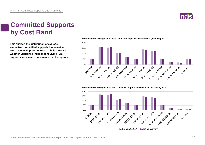

#### **Committed Supports by Cost Band**

**This quarter, the distribution of average annualised committed supports has remained consistent with prior quarters. This is the case whether Supported Independent Living (SIL) supports are included or excluded in the figures.** **Distribution of average annualised committed supports by cost band (including SIL)** 



**Distribution of average annualised committed supports by cost band (excluding SIL)** 

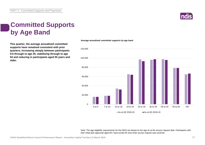

### **Committed Supports by Age Band**

**This quarter, the average annualised committed supports have remained consistent with prior quarters, increasing steeply between participants 0-6 through to age 35, stabilising through to age 54 and reducing in participants aged 55 years and older.**



**Average annualised committed supports by age band**

Note: The age eligibility requirements for the NDIS are based on the age as at the access request date. Participants with their initial plan approved aged 65+ have turned 65 since their access request was received.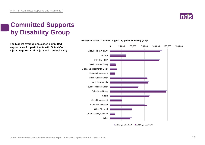

### **Committed Supports by Disability Group**

**The highest average annualised committed supports are for participants with Spinal Cord Injury, Acquired Brain Injury and Cerebral Palsy.**



#### **Average annualised committed supports by primary disability group**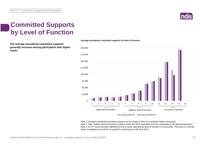

### **Committed Supports by Level of Function**

**The average annualised committed supports generally increase among participants with higher needs.**



Note 1: Average annualised committed supports are not shown if there are insufficient data in the group. Note 2: High, medium and low function is relative within the NDIS population and not comparable to the general population. Note 3: An ICT issue has been identified and as a result, reporting by level of function is not accurate. This issue is currently under investigation and will be reconciled for reporting as at 30 June 2019.

**Average annualised committed supports by level of function**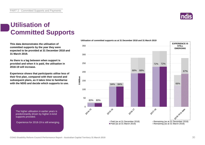### **Utilisation of Committed Supports**

**This data demonstrates the utilisation of committed supports by the year they were expected to be provided at 31 December 2018 and 31 March 2019.** 

**As there is a lag between when support is provided and when it is paid, the utilisation in 2018-19 will increase.**

**Experience shows that participants utilise less of their first plan, compared with their second and subsequent plans, as it takes time to familiarise with the NDIS and decide which supports to use.** 

The higher utilisation in earlier years is predominantly driven by higher in-kind supports provided.

Experience for 2018-19 is still emerging.



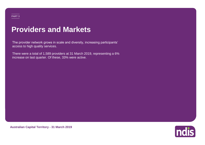### **Providers and Markets**

The provider network grows in scale and diversity, increasing participants' access to high quality services.

There were a total of 1,589 providers at 31 March 2019, representing a 6% increase on last quarter. Of these, 33% were active.



**Australian Capital Territory - 31 March 2019**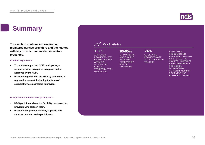### **Summary**

**This section contains information on registered service providers and the market, with key provider and market indicators presented.**

#### **Provider registration**

- **To provide supports to NDIS participants, a service provider is required to register and be approved by the NDIA.**
- **Providers register with the NDIA by submitting a registration request, indicating the types of support they are accredited to provide.**

#### **How providers interact with participants**

- **NDIS participants have the flexibility to choose the providers who support them.**
- **Providers are paid for disability supports and services provided to the participants.**

| 1,589<br><b>APPROVED</b><br>PROVIDERS, 33%<br>OF WHICH WERE<br><b>ACTIVE IN</b><br><b>AUSTRALIAN</b><br><b>CAPITAL</b><br><b>TERRITORY AT 31</b><br><b>MARCH 2019</b> | 80-95%<br>OF PAYMENTS<br><b>MADE BY THE</b><br><b>NDIA ARE</b><br><b>RECEIVED BY</b><br>25% OF<br><b>PROVIDERS</b> | 24%<br>OF SERVICE<br><b>PROVIDERS ARE</b><br><b>INDIVIDUALS/SOLE</b><br><b>TRADERS</b> | <b>ASSISTANCE</b><br><b>PRODUCTS FOR</b><br>PERSONAL CARE AND<br><b>SAFETY HAS THE</b><br><b>HIGHEST NUMBER OF</b><br><b>APPROVED SERVICE</b><br>PROVIDERS.<br><b>FOLLOWED BY</b><br>PERSONAL MOBILITY<br><b>EQUIPMENT AND</b><br><b>HOUSEHOLD TASKS</b> |
|-----------------------------------------------------------------------------------------------------------------------------------------------------------------------|--------------------------------------------------------------------------------------------------------------------|----------------------------------------------------------------------------------------|----------------------------------------------------------------------------------------------------------------------------------------------------------------------------------------------------------------------------------------------------------|
|                                                                                                                                                                       |                                                                                                                    |                                                                                        |                                                                                                                                                                                                                                                          |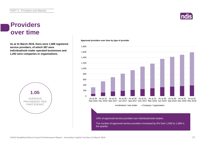### **ndis**

#### **Providers over time**

**As at 31 March 2019, there were 1,589 registered service providers, of which 387 were individual/sole trader operated businesses and 1,202 were companies or organisations.**



#### **Approved providers over time by type of provider**

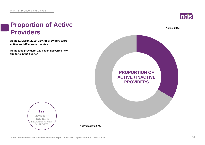**Proportion of Active** 



# **As at 31 March 2019, 33% of providers were active and 67% were inactive. Of the total providers, 122 began delivering new supports in the quarter. Providers 122**



**PROPORTION OF ACTIVE / INACTIVE PROVIDERS**



**Not yet active (67%)**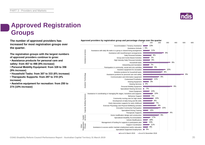

### **Approved Registration Groups**

**The number of approved providers has** *Approved providers by registration group and percentage change over the quarter***<br>
200 200 increased for most registration groups over the quarter.**

**The registration groups with the largest numbers of approved providers continue to grow:**

- **Assistance products for personal care and safety: from 457 to 498 (9% increase)**
- **Personal Mobility Equipment: from 328 to 356 (9% increase)**
- **Household Tasks: from 307 to 333 (8% increase)**
- **Therapeutic Supports: from 297 to 310 (4% increase)**
- **Assistive equipment for recreation: from 250 to 274 (10% increase)**



As at 31 March 2019 As at 31 December 2018

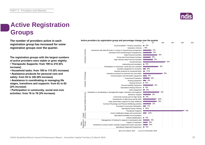### **Active Registration Groups**

**The number of providers active in each registration group has increased for some registration groups over the quarter.**

**The registration groups with the largest numbers of active providers were stable or grew slightly:**

- **Therapeutic Supports: from 199 to 210 (6% increase)**
- **Household tasks: from 109 to 115 (6% increase)**
- **Assistance products for personal care and safety: from 93 to 100 (8% increase)**
- **Assistance in coordinating or managing life stages, transitions and supports: from 81 to 83 (2% increase)**
- **Participation in community, social and civic activities: from 76 to 78 (3% increase)**

**COAG Disability Reform Council Performance Report - Australian Capital Territory 31 March 2019** 36



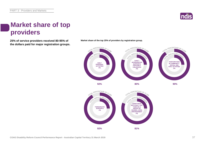

#### **Market share of top providers**

**25% of service providers received 80-95% of Market share of the top 25% of providers by registration group. the dollars paid for major registration groups.**



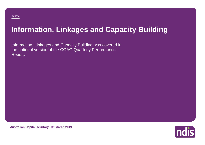## **Information, Linkages and Capacity Building**

Information, Linkages and Capacity Building was covered in the national version of the COAG Quarterly Performance Report.



**Australian Capital Territory - 31 March 2019**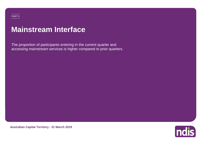#### PART 5

### **Mainstream Interface**

The proportion of participants entering in the current quarter and accessing mainstream services is higher compared to prior quarters.



**Australian Capital Territory - 31 March 2019**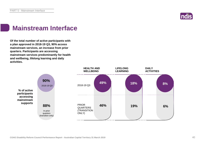

### **Mainstream Interface**

**Of the total number of active participants with a plan approved in 2018-19 Q3, 90% access mainstream services, an increase from prior quarters. Participants are accessing mainstream services predominantly for health and wellbeing, lifelong learning and daily activities.**